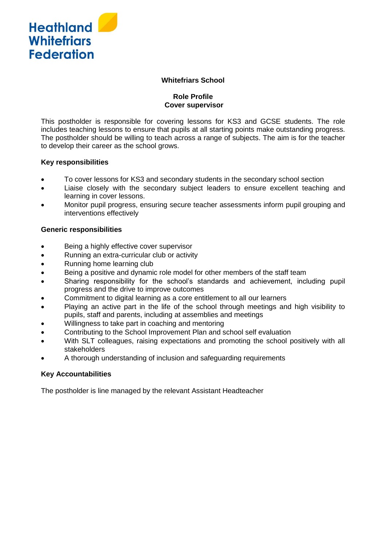

## **Whitefriars School**

# **Role Profile Cover supervisor**

This postholder is responsible for covering lessons for KS3 and GCSE students. The role includes teaching lessons to ensure that pupils at all starting points make outstanding progress. The postholder should be willing to teach across a range of subjects. The aim is for the teacher to develop their career as the school grows.

## **Key responsibilities**

- To cover lessons for KS3 and secondary students in the secondary school section
- Liaise closely with the secondary subject leaders to ensure excellent teaching and learning in cover lessons.
- Monitor pupil progress, ensuring secure teacher assessments inform pupil grouping and interventions effectively

# **Generic responsibilities**

- Being a highly effective cover supervisor
- Running an extra-curricular club or activity
- Running home learning club
- Being a positive and dynamic role model for other members of the staff team
- Sharing responsibility for the school's standards and achievement, including pupil progress and the drive to improve outcomes
- Commitment to digital learning as a core entitlement to all our learners
- Playing an active part in the life of the school through meetings and high visibility to pupils, staff and parents, including at assemblies and meetings
- Willingness to take part in coaching and mentoring
- Contributing to the School Improvement Plan and school self evaluation
- With SLT colleagues, raising expectations and promoting the school positively with all stakeholders
- A thorough understanding of inclusion and safeguarding requirements

## **Key Accountabilities**

The postholder is line managed by the relevant Assistant Headteacher